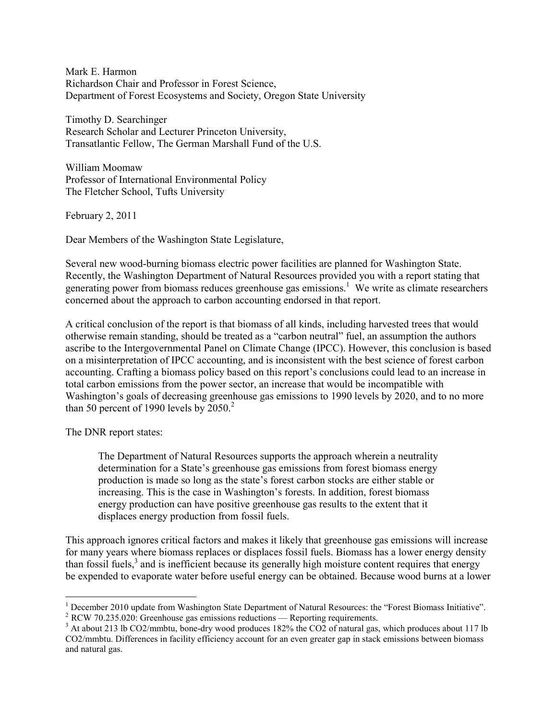Mark E. Harmon Richardson Chair and Professor in Forest Science, Department of Forest Ecosystems and Society, Oregon State University

Timothy D. Searchinger Research Scholar and Lecturer Princeton University, Transatlantic Fellow, The German Marshall Fund of the U.S.

William Moomaw Professor of International Environmental Policy The Fletcher School, Tufts University

February 2, 2011

Dear Members of the Washington State Legislature,

Several new wood-burning biomass electric power facilities are planned for Washington State. Recently, the Washington Department of Natural Resources provided you with a report stating that generating power from biomass reduces greenhouse gas emissions.<sup>1</sup> We write as climate researchers concerned about the approach to carbon accounting endorsed in that report.

A critical conclusion of the report is that biomass of all kinds, including harvested trees that would otherwise remain standing, should be treated as a "carbon neutral" fuel, an assumption the authors ascribe to the Intergovernmental Panel on Climate Change (IPCC). However, this conclusion is based on a misinterpretation of IPCC accounting, and is inconsistent with the best science of forest carbon accounting. Crafting a biomass policy based on this report's conclusions could lead to an increase in total carbon emissions from the power sector, an increase that would be incompatible with Washington's goals of decreasing greenhouse gas emissions to 1990 levels by 2020, and to no more than 50 percent of 1990 levels by  $2050<sup>2</sup>$ 

The DNR report states:

The Department of Natural Resources supports the approach wherein a neutrality determination for a State's greenhouse gas emissions from forest biomass energy production is made so long as the state's forest carbon stocks are either stable or increasing. This is the case in Washington's forests. In addition, forest biomass energy production can have positive greenhouse gas results to the extent that it displaces energy production from fossil fuels.

This approach ignores critical factors and makes it likely that greenhouse gas emissions will increase for many years where biomass replaces or displaces fossil fuels. Biomass has a lower energy density than fossil fuels, $3$  and is inefficient because its generally high moisture content requires that energy be expended to evaporate water before useful energy can be obtained. Because wood burns at a lower

<sup>-</sup><sup>1</sup> December 2010 update from Washington State Department of Natural Resources: the "Forest Biomass Initiative".

<sup>&</sup>lt;sup>2</sup> RCW 70.235.020: Greenhouse gas emissions reductions — Reporting requirements.

<sup>&</sup>lt;sup>3</sup> At about 213 lb CO2/mmbtu, bone-dry wood produces 182% the CO2 of natural gas, which produces about 117 lb CO2/mmbtu. Differences in facility efficiency account for an even greater gap in stack emissions between biomass and natural gas.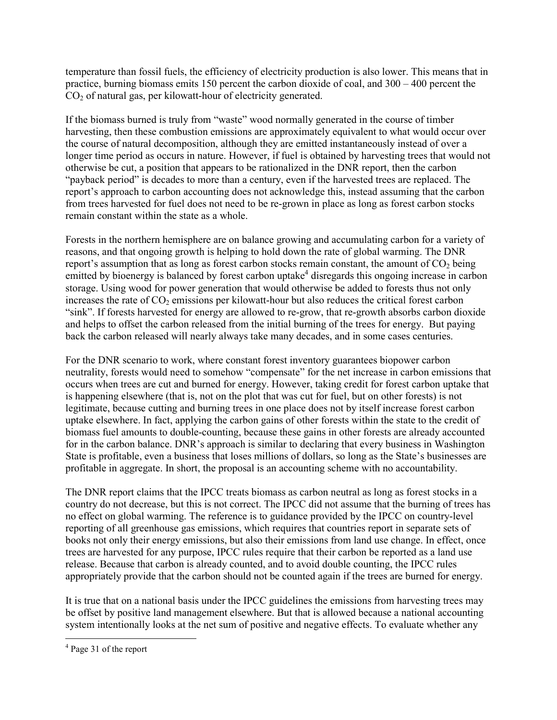temperature than fossil fuels, the efficiency of electricity production is also lower. This means that in practice, burning biomass emits 150 percent the carbon dioxide of coal, and 300 – 400 percent the CO<sub>2</sub> of natural gas, per kilowatt-hour of electricity generated.

If the biomass burned is truly from "waste" wood normally generated in the course of timber harvesting, then these combustion emissions are approximately equivalent to what would occur over the course of natural decomposition, although they are emitted instantaneously instead of over a longer time period as occurs in nature. However, if fuel is obtained by harvesting trees that would not otherwise be cut, a position that appears to be rationalized in the DNR report, then the carbon "payback period" is decades to more than a century, even if the harvested trees are replaced. The report's approach to carbon accounting does not acknowledge this, instead assuming that the carbon from trees harvested for fuel does not need to be re-grown in place as long as forest carbon stocks remain constant within the state as a whole.

Forests in the northern hemisphere are on balance growing and accumulating carbon for a variety of reasons, and that ongoing growth is helping to hold down the rate of global warming. The DNR report's assumption that as long as forest carbon stocks remain constant, the amount of  $CO<sub>2</sub>$  being emitted by bioenergy is balanced by forest carbon uptake<sup>4</sup> disregards this ongoing increase in carbon storage. Using wood for power generation that would otherwise be added to forests thus not only increases the rate of  $CO<sub>2</sub>$  emissions per kilowatt-hour but also reduces the critical forest carbon "sink". If forests harvested for energy are allowed to re-grow, that re-growth absorbs carbon dioxide and helps to offset the carbon released from the initial burning of the trees for energy. But paying back the carbon released will nearly always take many decades, and in some cases centuries.

For the DNR scenario to work, where constant forest inventory guarantees biopower carbon neutrality, forests would need to somehow "compensate" for the net increase in carbon emissions that occurs when trees are cut and burned for energy. However, taking credit for forest carbon uptake that is happening elsewhere (that is, not on the plot that was cut for fuel, but on other forests) is not legitimate, because cutting and burning trees in one place does not by itself increase forest carbon uptake elsewhere. In fact, applying the carbon gains of other forests within the state to the credit of biomass fuel amounts to double-counting, because these gains in other forests are already accounted for in the carbon balance. DNR's approach is similar to declaring that every business in Washington State is profitable, even a business that loses millions of dollars, so long as the State's businesses are profitable in aggregate. In short, the proposal is an accounting scheme with no accountability.

The DNR report claims that the IPCC treats biomass as carbon neutral as long as forest stocks in a country do not decrease, but this is not correct. The IPCC did not assume that the burning of trees has no effect on global warming. The reference is to guidance provided by the IPCC on country-level reporting of all greenhouse gas emissions, which requires that countries report in separate sets of books not only their energy emissions, but also their emissions from land use change. In effect, once trees are harvested for any purpose, IPCC rules require that their carbon be reported as a land use release. Because that carbon is already counted, and to avoid double counting, the IPCC rules appropriately provide that the carbon should not be counted again if the trees are burned for energy.

It is true that on a national basis under the IPCC guidelines the emissions from harvesting trees may be offset by positive land management elsewhere. But that is allowed because a national accounting system intentionally looks at the net sum of positive and negative effects. To evaluate whether any

<u>.</u>

<sup>4</sup> Page 31 of the report